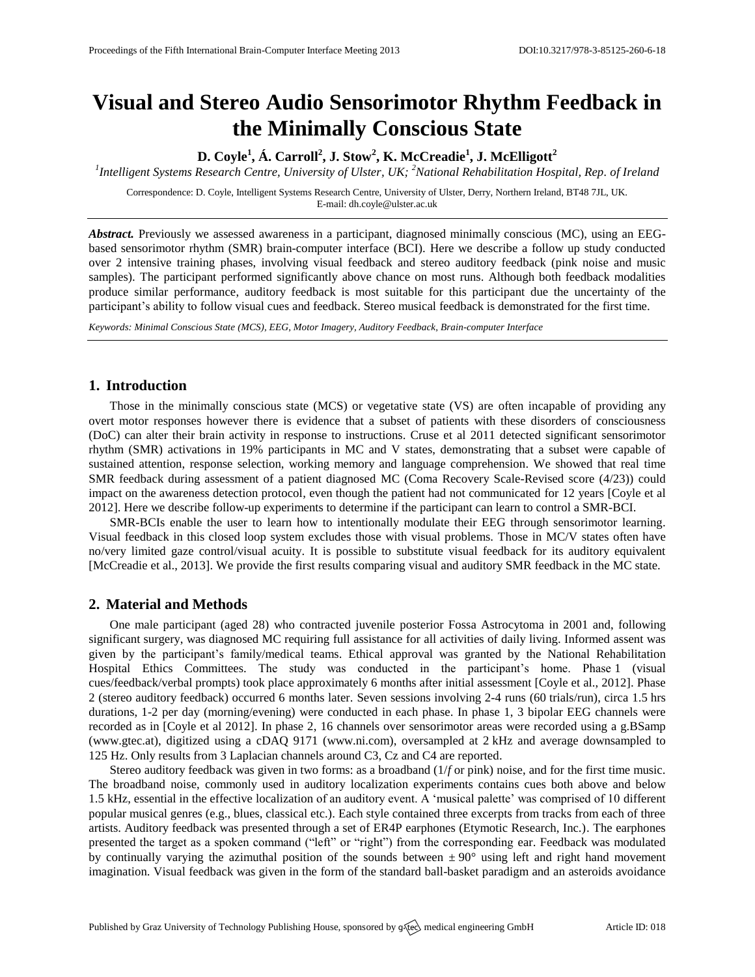# **Visual and Stereo Audio Sensorimotor Rhythm Feedback in the Minimally Conscious State**

**D. Coyle<sup>1</sup> , Á. Carroll<sup>2</sup> , J. Stow<sup>2</sup> , K. McCreadie<sup>1</sup> , J. McElligott<sup>2</sup>**

*1 Intelligent Systems Research Centre, University of Ulster, UK; <sup>2</sup>National Rehabilitation Hospital, Rep. of Ireland*

Correspondence: D. Coyle, Intelligent Systems Research Centre, University of Ulster, Derry, Northern Ireland, BT48 7JL, UK. E-mail[: dh.coyle@ulster.ac.uk](mailto:dh.coyle@ulster.ac.uk)

*Abstract.* Previously we assessed awareness in a participant, diagnosed minimally conscious (MC), using an EEGbased sensorimotor rhythm (SMR) brain-computer interface (BCI). Here we describe a follow up study conducted over 2 intensive training phases, involving visual feedback and stereo auditory feedback (pink noise and music samples). The participant performed significantly above chance on most runs. Although both feedback modalities produce similar performance, auditory feedback is most suitable for this participant due the uncertainty of the participant's ability to follow visual cues and feedback. Stereo musical feedback is demonstrated for the first time.

*Keywords: Minimal Conscious State (MCS), EEG, Motor Imagery, Auditory Feedback, Brain-computer Interface*

## **1. Introduction**

Those in the minimally conscious state (MCS) or vegetative state (VS) are often incapable of providing any overt motor responses however there is evidence that a subset of patients with these disorders of consciousness (DoC) can alter their brain activity in response to instructions. Cruse et al 2011 detected significant sensorimotor rhythm (SMR) activations in 19% participants in MC and V states, demonstrating that a subset were capable of sustained attention, response selection, working memory and language comprehension. We showed that real time SMR feedback during assessment of a patient diagnosed MC (Coma Recovery Scale-Revised score (4/23)) could impact on the awareness detection protocol, even though the patient had not communicated for 12 years [Coyle et al 2012]. Here we describe follow-up experiments to determine if the participant can learn to control a SMR-BCI.

SMR-BCIs enable the user to learn how to intentionally modulate their EEG through sensorimotor learning. Visual feedback in this closed loop system excludes those with visual problems. Those in MC/V states often have no/very limited gaze control/visual acuity. It is possible to substitute visual feedback for its auditory equivalent [McCreadie et al., 2013]. We provide the first results comparing visual and auditory SMR feedback in the MC state.

### **2. Material and Methods**

One male participant (aged 28) who contracted juvenile posterior Fossa Astrocytoma in 2001 and, following significant surgery, was diagnosed MC requiring full assistance for all activities of daily living. Informed assent was given by the participant's family/medical teams. Ethical approval was granted by the National Rehabilitation Hospital Ethics Committees. The study was conducted in the participant's home. Phase 1 (visual cues/feedback/verbal prompts) took place approximately 6 months after initial assessment [Coyle et al., 2012]. Phase 2 (stereo auditory feedback) occurred 6 months later. Seven sessions involving 2-4 runs (60 trials/run), circa 1.5 hrs durations, 1-2 per day (morning/evening) were conducted in each phase. In phase 1, 3 bipolar EEG channels were recorded as in [Coyle et al 2012]. In phase 2, 16 channels over sensorimotor areas were recorded using a g.BSamp [\(www.gtec.at\)](http://www.gtec.at/), digitized using a cDAQ 9171 [\(www.ni.com\),](http://www.ni.com)/) oversampled at 2 kHz and average downsampled to 125 Hz. Only results from 3 Laplacian channels around C3, Cz and C4 are reported.

Stereo auditory feedback was given in two forms: as a broadband (1/*f* or pink) noise, and for the first time music. The broadband noise, commonly used in auditory localization experiments contains cues both above and below 1.5 kHz, essential in the effective localization of an auditory event. A 'musical palette' was comprised of 10 different popular musical genres (e.g., blues, classical etc.). Each style contained three excerpts from tracks from each of three artists. Auditory feedback was presented through a set of ER4P earphones (Etymotic Research, Inc.). The earphones presented the target as a spoken command ("left" or "right") from the corresponding ear. Feedback was modulated by continually varying the azimuthal position of the sounds between  $\pm 90^{\circ}$  using left and right hand movement imagination. Visual feedback was given in the form of the standard ball-basket paradigm and an asteroids avoidance